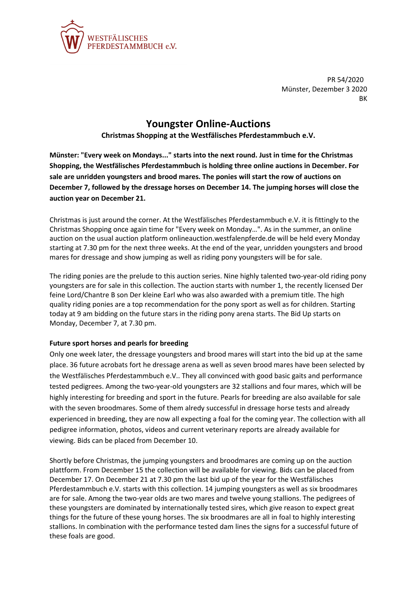

PR 54/2020 Münster, Dezember 3 2020 BK

## **Youngster Online-Auctions**

**Christmas Shopping at the Westfälisches Pferdestammbuch e.V.**

**Münster: "Every week on Mondays..." starts into the next round. Just in time for the Christmas Shopping, the Westfälisches Pferdestammbuch is holding three online auctions in December. For sale are unridden youngsters and brood mares. The ponies will start the row of auctions on December 7, followed by the dressage horses on December 14. The jumping horses will close the auction year on December 21.**

Christmas is just around the corner. At the Westfälisches Pferdestammbuch e.V. it is fittingly to the Christmas Shopping once again time for "Every week on Monday…". As in the summer, an online auction on the usual auction platform onlineauction.westfalenpferde.de will be held every Monday starting at 7.30 pm for the next three weeks. At the end of the year, unridden youngsters and brood mares for dressage and show jumping as well as riding pony youngsters will be for sale.

The riding ponies are the prelude to this auction series. Nine highly talented two-year-old riding pony youngsters are for sale in this collection. The auction starts with number 1, the recently licensed Der feine Lord/Chantre B son Der kleine Earl who was also awarded with a premium title. The high quality riding ponies are a top recommendation for the pony sport as well as for children. Starting today at 9 am bidding on the future stars in the riding pony arena starts. The Bid Up starts on Monday, December 7, at 7.30 pm.

## **Future sport horses and pearls for breeding**

Only one week later, the dressage youngsters and brood mares will start into the bid up at the same place. 36 future acrobats fort he dressage arena as well as seven brood mares have been selected by the Westfälisches Pferdestammbuch e.V.. They all convinced with good basic gaits and performance tested pedigrees. Among the two-year-old youngsters are 32 stallions and four mares, which will be highly interesting for breeding and sport in the future. Pearls for breeding are also available for sale with the seven broodmares. Some of them alredy successful in dressage horse tests and already experienced in breeding, they are now all expecting a foal for the coming year. The collection with all pedigree information, photos, videos and current veterinary reports are already available for viewing. Bids can be placed from December 10.

Shortly before Christmas, the jumping youngsters and broodmares are coming up on the auction plattform. From December 15 the collection will be available for viewing. Bids can be placed from December 17. On December 21 at 7.30 pm the last bid up of the year for the Westfälisches Pferdestammbuch e.V. starts with this collection. 14 jumping youngsters as well as six broodmares are for sale. Among the two-year olds are two mares and twelve young stallions. The pedigrees of these youngsters are dominated by internationally tested sires, which give reason to expect great things for the future of these young horses. The six broodmares are all in foal to highly interesting stallions. In combination with the performance tested dam lines the signs for a successful future of these foals are good.